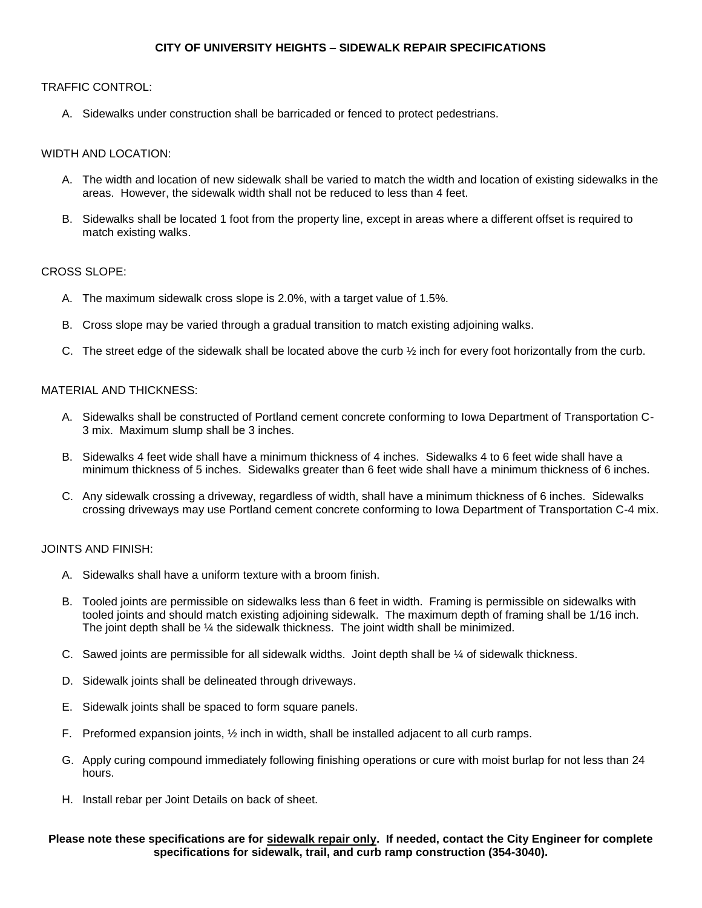# **CITY OF UNIVERSITY HEIGHTS – SIDEWALK REPAIR SPECIFICATIONS**

# TRAFFIC CONTROL:

A. Sidewalks under construction shall be barricaded or fenced to protect pedestrians.

# WIDTH AND LOCATION:

- A. The width and location of new sidewalk shall be varied to match the width and location of existing sidewalks in the areas. However, the sidewalk width shall not be reduced to less than 4 feet.
- B. Sidewalks shall be located 1 foot from the property line, except in areas where a different offset is required to match existing walks.

# CROSS SLOPE:

- A. The maximum sidewalk cross slope is 2.0%, with a target value of 1.5%.
- B. Cross slope may be varied through a gradual transition to match existing adjoining walks.
- C. The street edge of the sidewalk shall be located above the curb  $\frac{1}{2}$  inch for every foot horizontally from the curb.

# MATERIAL AND THICKNESS:

- A. Sidewalks shall be constructed of Portland cement concrete conforming to Iowa Department of Transportation C-3 mix. Maximum slump shall be 3 inches.
- B. Sidewalks 4 feet wide shall have a minimum thickness of 4 inches. Sidewalks 4 to 6 feet wide shall have a minimum thickness of 5 inches. Sidewalks greater than 6 feet wide shall have a minimum thickness of 6 inches.
- C. Any sidewalk crossing a driveway, regardless of width, shall have a minimum thickness of 6 inches. Sidewalks crossing driveways may use Portland cement concrete conforming to Iowa Department of Transportation C-4 mix.

# JOINTS AND FINISH:

- A. Sidewalks shall have a uniform texture with a broom finish.
- B. Tooled joints are permissible on sidewalks less than 6 feet in width. Framing is permissible on sidewalks with tooled joints and should match existing adjoining sidewalk. The maximum depth of framing shall be 1/16 inch. The joint depth shall be ¼ the sidewalk thickness. The joint width shall be minimized.
- C. Sawed joints are permissible for all sidewalk widths. Joint depth shall be ¼ of sidewalk thickness.
- D. Sidewalk joints shall be delineated through driveways.
- E. Sidewalk joints shall be spaced to form square panels.
- F. Preformed expansion joints, ½ inch in width, shall be installed adjacent to all curb ramps.
- G. Apply curing compound immediately following finishing operations or cure with moist burlap for not less than 24 hours.
- H. Install rebar per Joint Details on back of sheet.

#### **Please note these specifications are for sidewalk repair only. If needed, contact the City Engineer for complete specifications for sidewalk, trail, and curb ramp construction (354-3040).**